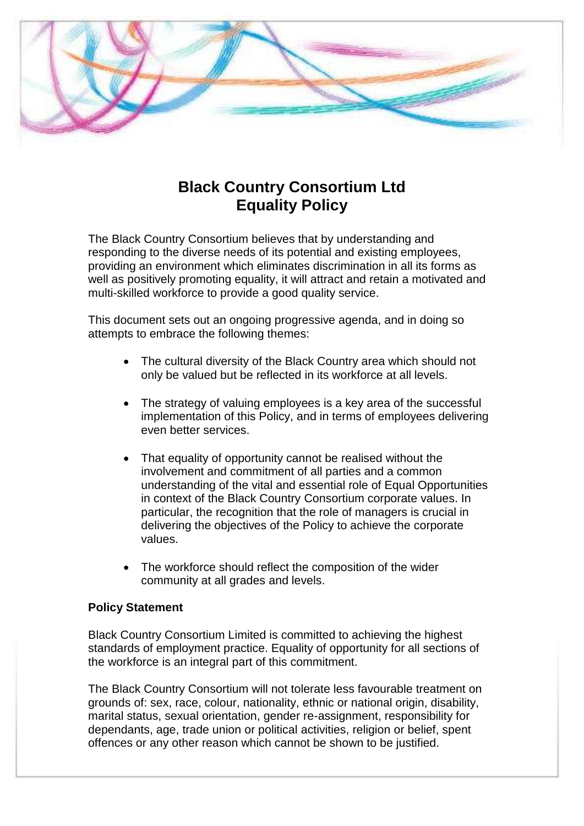

# **Black Country Consortium Ltd Equality Policy**

The Black Country Consortium believes that by understanding and responding to the diverse needs of its potential and existing employees, providing an environment which eliminates discrimination in all its forms as well as positively promoting equality, it will attract and retain a motivated and multi-skilled workforce to provide a good quality service.

This document sets out an ongoing progressive agenda, and in doing so attempts to embrace the following themes:

- The cultural diversity of the Black Country area which should not only be valued but be reflected in its workforce at all levels.
- The strategy of valuing employees is a key area of the successful implementation of this Policy, and in terms of employees delivering even better services.
- That equality of opportunity cannot be realised without the involvement and commitment of all parties and a common understanding of the vital and essential role of Equal Opportunities in context of the Black Country Consortium corporate values. In particular, the recognition that the role of managers is crucial in delivering the objectives of the Policy to achieve the corporate values.
- The workforce should reflect the composition of the wider community at all grades and levels.

# **Policy Statement**

Black Country Consortium Limited is committed to achieving the highest standards of employment practice. Equality of opportunity for all sections of the workforce is an integral part of this commitment.

The Black Country Consortium will not tolerate less favourable treatment on grounds of: sex, race, colour, nationality, ethnic or national origin, disability, marital status, sexual orientation, gender re-assignment, responsibility for dependants, age, trade union or political activities, religion or belief, spent offences or any other reason which cannot be shown to be justified.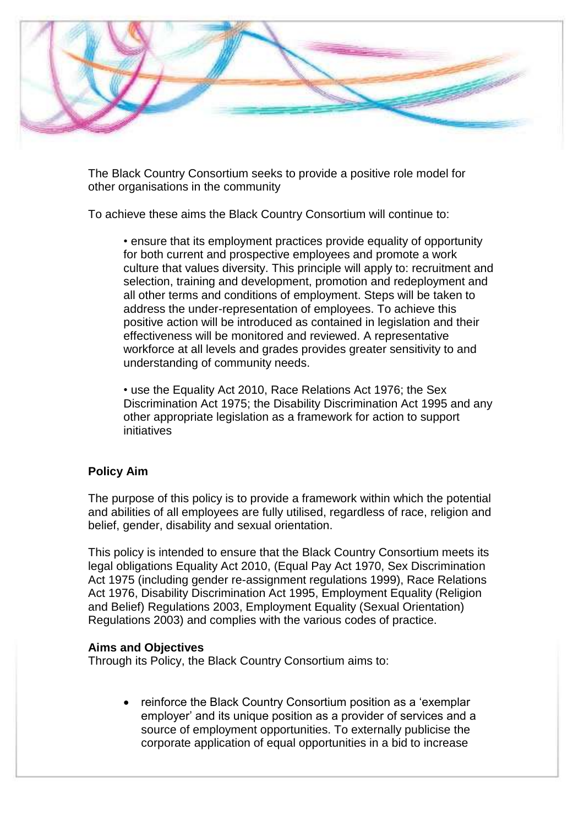

The Black Country Consortium seeks to provide a positive role model for other organisations in the community

To achieve these aims the Black Country Consortium will continue to:

• ensure that its employment practices provide equality of opportunity for both current and prospective employees and promote a work culture that values diversity. This principle will apply to: recruitment and selection, training and development, promotion and redeployment and all other terms and conditions of employment. Steps will be taken to address the under-representation of employees. To achieve this positive action will be introduced as contained in legislation and their effectiveness will be monitored and reviewed. A representative workforce at all levels and grades provides greater sensitivity to and understanding of community needs.

• use the Equality Act 2010, Race Relations Act 1976; the Sex Discrimination Act 1975; the Disability Discrimination Act 1995 and any other appropriate legislation as a framework for action to support initiatives

# **Policy Aim**

The purpose of this policy is to provide a framework within which the potential and abilities of all employees are fully utilised, regardless of race, religion and belief, gender, disability and sexual orientation.

This policy is intended to ensure that the Black Country Consortium meets its legal obligations Equality Act 2010, (Equal Pay Act 1970, Sex Discrimination Act 1975 (including gender re-assignment regulations 1999), Race Relations Act 1976, Disability Discrimination Act 1995, Employment Equality (Religion and Belief) Regulations 2003, Employment Equality (Sexual Orientation) Regulations 2003) and complies with the various codes of practice.

# **Aims and Objectives**

Through its Policy, the Black Country Consortium aims to:

 reinforce the Black Country Consortium position as a 'exemplar employer' and its unique position as a provider of services and a source of employment opportunities. To externally publicise the corporate application of equal opportunities in a bid to increase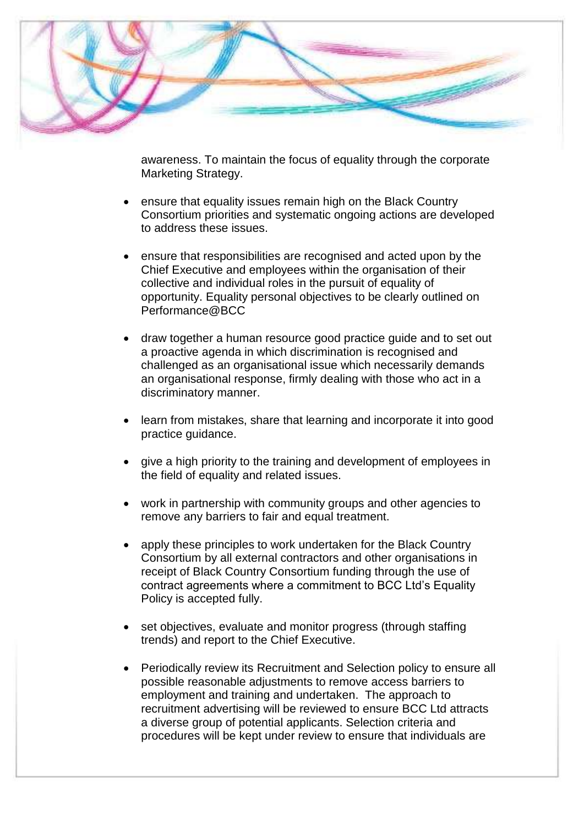

awareness. To maintain the focus of equality through the corporate Marketing Strategy.

- ensure that equality issues remain high on the Black Country Consortium priorities and systematic ongoing actions are developed to address these issues.
- ensure that responsibilities are recognised and acted upon by the Chief Executive and employees within the organisation of their collective and individual roles in the pursuit of equality of opportunity. Equality personal objectives to be clearly outlined on Performance@BCC
- draw together a human resource good practice guide and to set out a proactive agenda in which discrimination is recognised and challenged as an organisational issue which necessarily demands an organisational response, firmly dealing with those who act in a discriminatory manner.
- learn from mistakes, share that learning and incorporate it into good practice guidance.
- give a high priority to the training and development of employees in the field of equality and related issues.
- work in partnership with community groups and other agencies to remove any barriers to fair and equal treatment.
- apply these principles to work undertaken for the Black Country Consortium by all external contractors and other organisations in receipt of Black Country Consortium funding through the use of contract agreements where a commitment to BCC Ltd's Equality Policy is accepted fully.
- set objectives, evaluate and monitor progress (through staffing trends) and report to the Chief Executive.
- Periodically review its Recruitment and Selection policy to ensure all possible reasonable adjustments to remove access barriers to employment and training and undertaken. The approach to recruitment advertising will be reviewed to ensure BCC Ltd attracts a diverse group of potential applicants. Selection criteria and procedures will be kept under review to ensure that individuals are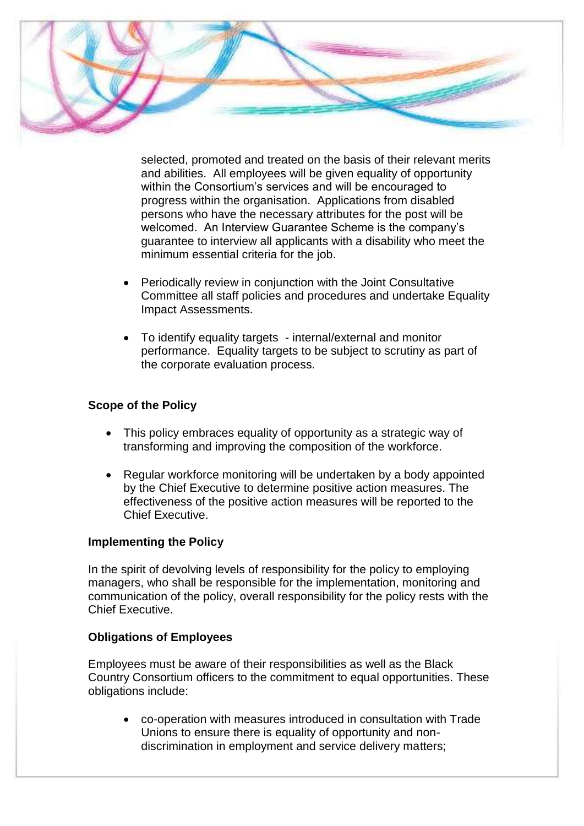

selected, promoted and treated on the basis of their relevant merits and abilities. All employees will be given equality of opportunity within the Consortium's services and will be encouraged to progress within the organisation. Applications from disabled persons who have the necessary attributes for the post will be welcomed. An Interview Guarantee Scheme is the company's guarantee to interview all applicants with a disability who meet the minimum essential criteria for the job.

- Periodically review in conjunction with the Joint Consultative Committee all staff policies and procedures and undertake Equality Impact Assessments.
- To identify equality targets internal/external and monitor performance. Equality targets to be subject to scrutiny as part of the corporate evaluation process.

#### **Scope of the Policy**

- This policy embraces equality of opportunity as a strategic way of transforming and improving the composition of the workforce.
- Regular workforce monitoring will be undertaken by a body appointed by the Chief Executive to determine positive action measures. The effectiveness of the positive action measures will be reported to the Chief Executive.

#### **Implementing the Policy**

In the spirit of devolving levels of responsibility for the policy to employing managers, who shall be responsible for the implementation, monitoring and communication of the policy, overall responsibility for the policy rests with the Chief Executive.

# **Obligations of Employees**

Employees must be aware of their responsibilities as well as the Black Country Consortium officers to the commitment to equal opportunities. These obligations include:

 co-operation with measures introduced in consultation with Trade Unions to ensure there is equality of opportunity and nondiscrimination in employment and service delivery matters;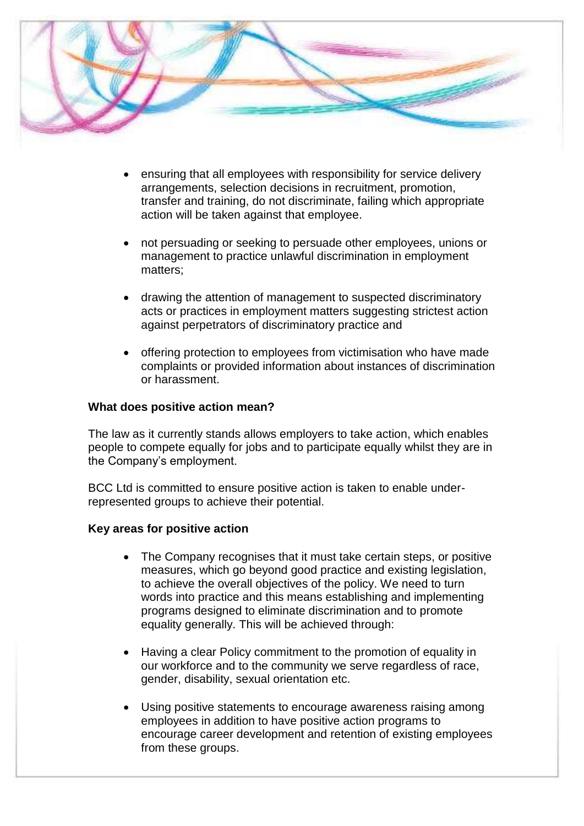

- ensuring that all employees with responsibility for service delivery arrangements, selection decisions in recruitment, promotion, transfer and training, do not discriminate, failing which appropriate action will be taken against that employee.
- not persuading or seeking to persuade other employees, unions or management to practice unlawful discrimination in employment matters;
- drawing the attention of management to suspected discriminatory acts or practices in employment matters suggesting strictest action against perpetrators of discriminatory practice and
- offering protection to employees from victimisation who have made complaints or provided information about instances of discrimination or harassment.

#### **What does positive action mean?**

The law as it currently stands allows employers to take action, which enables people to compete equally for jobs and to participate equally whilst they are in the Company's employment.

BCC Ltd is committed to ensure positive action is taken to enable underrepresented groups to achieve their potential.

#### **Key areas for positive action**

- The Company recognises that it must take certain steps, or positive measures, which go beyond good practice and existing legislation, to achieve the overall objectives of the policy. We need to turn words into practice and this means establishing and implementing programs designed to eliminate discrimination and to promote equality generally. This will be achieved through:
- Having a clear Policy commitment to the promotion of equality in our workforce and to the community we serve regardless of race, gender, disability, sexual orientation etc.
- Using positive statements to encourage awareness raising among employees in addition to have positive action programs to encourage career development and retention of existing employees from these groups.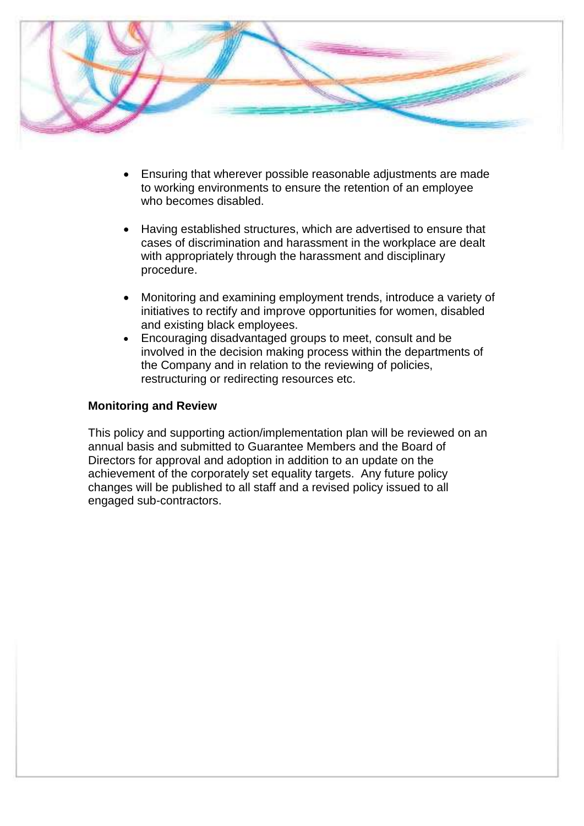

- Ensuring that wherever possible reasonable adjustments are made to working environments to ensure the retention of an employee who becomes disabled.
- Having established structures, which are advertised to ensure that cases of discrimination and harassment in the workplace are dealt with appropriately through the harassment and disciplinary procedure.
- Monitoring and examining employment trends, introduce a variety of initiatives to rectify and improve opportunities for women, disabled and existing black employees.
- Encouraging disadvantaged groups to meet, consult and be involved in the decision making process within the departments of the Company and in relation to the reviewing of policies, restructuring or redirecting resources etc.

#### **Monitoring and Review**

This policy and supporting action/implementation plan will be reviewed on an annual basis and submitted to Guarantee Members and the Board of Directors for approval and adoption in addition to an update on the achievement of the corporately set equality targets. Any future policy changes will be published to all staff and a revised policy issued to all engaged sub-contractors.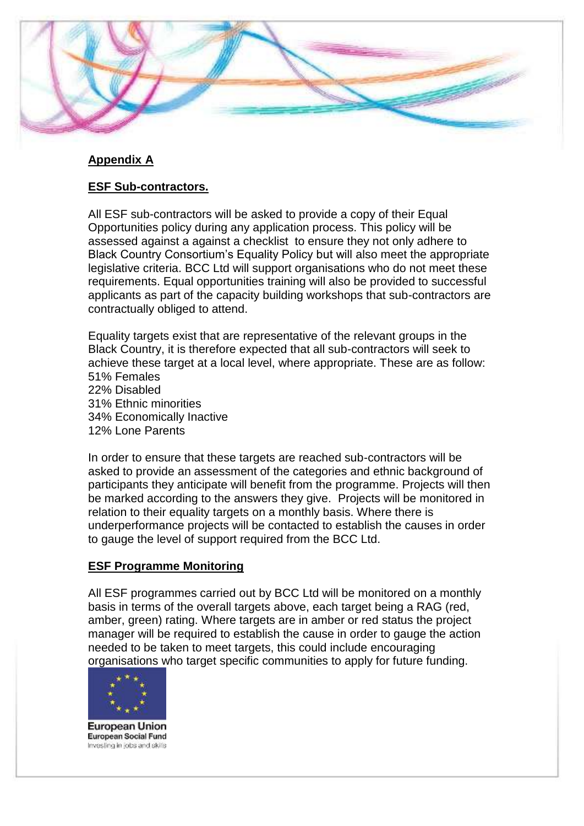

# **Appendix A**

# **ESF Sub-contractors.**

All ESF sub-contractors will be asked to provide a copy of their Equal Opportunities policy during any application process. This policy will be assessed against a against a checklist to ensure they not only adhere to Black Country Consortium's Equality Policy but will also meet the appropriate legislative criteria. BCC Ltd will support organisations who do not meet these requirements. Equal opportunities training will also be provided to successful applicants as part of the capacity building workshops that sub-contractors are contractually obliged to attend.

Equality targets exist that are representative of the relevant groups in the Black Country, it is therefore expected that all sub-contractors will seek to achieve these target at a local level, where appropriate. These are as follow: 51% Females

22% Disabled 31% Ethnic minorities 34% Economically Inactive 12% Lone Parents

In order to ensure that these targets are reached sub-contractors will be asked to provide an assessment of the categories and ethnic background of participants they anticipate will benefit from the programme. Projects will then be marked according to the answers they give. Projects will be monitored in relation to their equality targets on a monthly basis. Where there is underperformance projects will be contacted to establish the causes in order to gauge the level of support required from the BCC Ltd.

# **ESF Programme Monitoring**

All ESF programmes carried out by BCC Ltd will be monitored on a monthly basis in terms of the overall targets above, each target being a RAG (red, amber, green) rating. Where targets are in amber or red status the project manager will be required to establish the cause in order to gauge the action needed to be taken to meet targets, this could include encouraging organisations who target specific communities to apply for future funding.



**European Union** European Social Fund Investing in jobs and skills